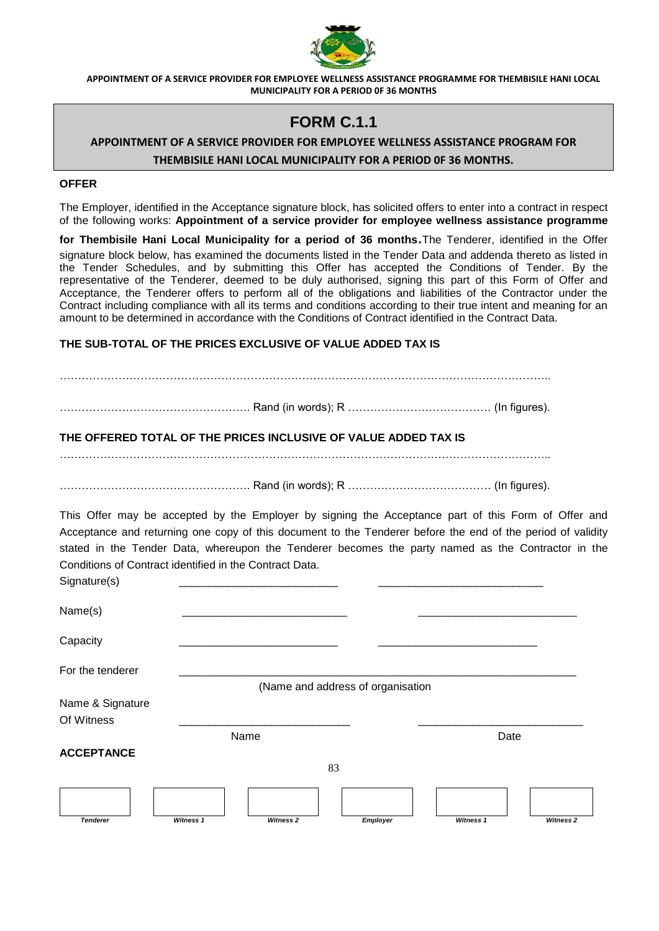

## **FORM C.1.1**

## **APPOINTMENT OF A SERVICE PROVIDER FOR EMPLOYEE WELLNESS ASSISTANCE PROGRAM FOR THEMBISILE HANI LOCAL MUNICIPALITY FOR A PERIOD 0F 36 MONTHS.**

#### **OFFER**

The Employer, identified in the Acceptance signature block, has solicited offers to enter into a contract in respect of the following works: **Appointment of a service provider for employee wellness assistance programme** 

**for Thembisile Hani Local Municipality for a period of 36 months**.The Tenderer, identified in the Offer signature block below, has examined the documents listed in the Tender Data and addenda thereto as listed in the Tender Schedules, and by submitting this Offer has accepted the Conditions of Tender. By the representative of the Tenderer, deemed to be duly authorised, signing this part of this Form of Offer and Acceptance, the Tenderer offers to perform all of the obligations and liabilities of the Contractor under the Contract including compliance with all its terms and conditions according to their true intent and meaning for an amount to be determined in accordance with the Conditions of Contract identified in the Contract Data.

### **THE SUB-TOTAL OF THE PRICES EXCLUSIVE OF VALUE ADDED TAX IS**

83 *Tenderer Witness 1 Witness 2 Employer Witness 1 Witness 2* …………………………………………………………………………………………………………………….. ……………………………………………. Rand (in words); R ………………………………… (In figures). **THE OFFERED TOTAL OF THE PRICES INCLUSIVE OF VALUE ADDED TAX IS** …………………………………………………………………………………………………………………….. ……………………………………………. Rand (in words); R ………………………………… (In figures). This Offer may be accepted by the Employer by signing the Acceptance part of this Form of Offer and Acceptance and returning one copy of this document to the Tenderer before the end of the period of validity stated in the Tender Data, whereupon the Tenderer becomes the party named as the Contractor in the Conditions of Contract identified in the Contract Data. Signature(s) Name(s) \_\_\_\_\_\_\_\_\_\_\_\_\_\_\_\_\_\_\_\_\_\_\_\_\_\_\_ \_\_\_\_\_\_\_\_\_\_\_\_\_\_\_\_\_\_\_\_\_\_\_\_\_\_ Capacity \_\_\_\_\_\_\_\_\_\_\_\_\_\_\_\_\_\_\_\_\_\_\_\_\_\_ \_\_\_\_\_\_\_\_\_\_\_\_\_\_\_\_\_\_\_\_\_\_\_\_\_\_ For the tenderer (Name and address of organisation Name & Signature Of Witness \_\_\_\_\_\_\_\_\_\_\_\_\_\_\_\_\_\_\_\_\_\_\_\_\_\_\_\_ \_\_\_\_\_\_\_\_\_\_\_\_\_\_\_\_\_\_\_\_\_\_\_\_\_\_\_ name and the Date of the Date of the Date of the Date of the Date of the Date of the Date of the Date of the D **ACCEPTANCE**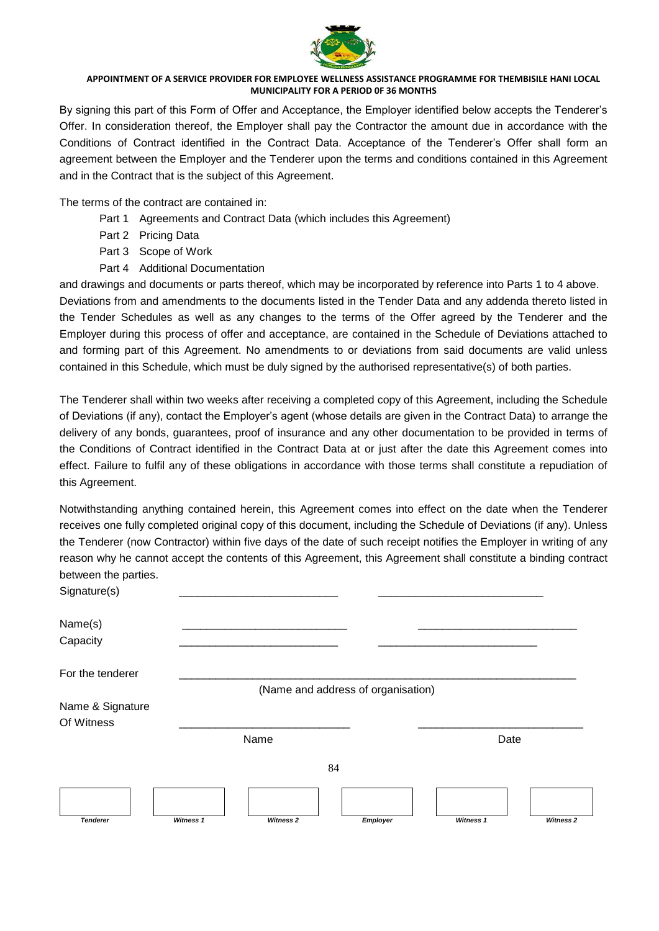

By signing this part of this Form of Offer and Acceptance, the Employer identified below accepts the Tenderer's Offer. In consideration thereof, the Employer shall pay the Contractor the amount due in accordance with the Conditions of Contract identified in the Contract Data. Acceptance of the Tenderer's Offer shall form an agreement between the Employer and the Tenderer upon the terms and conditions contained in this Agreement and in the Contract that is the subject of this Agreement.

The terms of the contract are contained in:

- Part 1 Agreements and Contract Data (which includes this Agreement)
- Part 2 Pricing Data
- Part 3 Scope of Work
- Part 4 Additional Documentation

and drawings and documents or parts thereof, which may be incorporated by reference into Parts 1 to 4 above.

Deviations from and amendments to the documents listed in the Tender Data and any addenda thereto listed in the Tender Schedules as well as any changes to the terms of the Offer agreed by the Tenderer and the Employer during this process of offer and acceptance, are contained in the Schedule of Deviations attached to and forming part of this Agreement. No amendments to or deviations from said documents are valid unless contained in this Schedule, which must be duly signed by the authorised representative(s) of both parties.

The Tenderer shall within two weeks after receiving a completed copy of this Agreement, including the Schedule of Deviations (if any), contact the Employer's agent (whose details are given in the Contract Data) to arrange the delivery of any bonds, guarantees, proof of insurance and any other documentation to be provided in terms of the Conditions of Contract identified in the Contract Data at or just after the date this Agreement comes into effect. Failure to fulfil any of these obligations in accordance with those terms shall constitute a repudiation of this Agreement.

Notwithstanding anything contained herein, this Agreement comes into effect on the date when the Tenderer receives one fully completed original copy of this document, including the Schedule of Deviations (if any). Unless the Tenderer (now Contractor) within five days of the date of such receipt notifies the Employer in writing of any reason why he cannot accept the contents of this Agreement, this Agreement shall constitute a binding contract between the parties.

| Signature(s)     |           |           |                                    |           |                  |  |
|------------------|-----------|-----------|------------------------------------|-----------|------------------|--|
| Name(s)          |           |           |                                    |           |                  |  |
| Capacity         |           |           |                                    |           |                  |  |
| For the tenderer |           |           |                                    |           |                  |  |
|                  |           |           | (Name and address of organisation) |           |                  |  |
| Name & Signature |           |           |                                    |           |                  |  |
| Of Witness       |           |           |                                    |           |                  |  |
|                  |           | Name      |                                    | Date      |                  |  |
|                  |           |           | 84                                 |           |                  |  |
|                  |           |           |                                    |           |                  |  |
| <b>Tenderer</b>  | Witness 1 | Witness 2 | Employer                           | Witness 1 | <b>Witness 2</b> |  |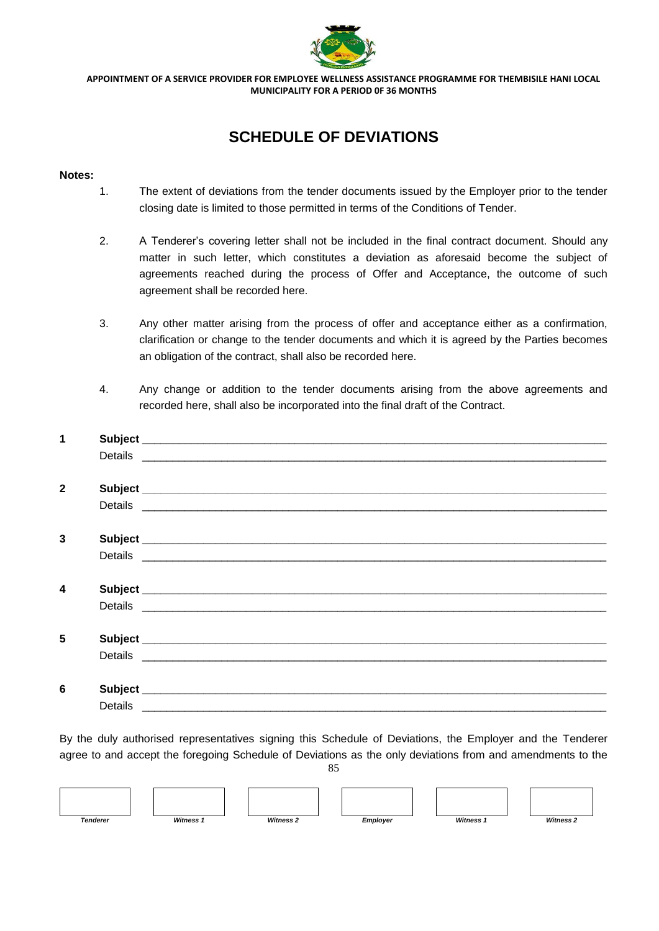

# **SCHEDULE OF DEVIATIONS**

#### **Notes:**

- 1. The extent of deviations from the tender documents issued by the Employer prior to the tender closing date is limited to those permitted in terms of the Conditions of Tender.
- 2. A Tenderer's covering letter shall not be included in the final contract document. Should any matter in such letter, which constitutes a deviation as aforesaid become the subject of agreements reached during the process of Offer and Acceptance, the outcome of such agreement shall be recorded here.
- 3. Any other matter arising from the process of offer and acceptance either as a confirmation, clarification or change to the tender documents and which it is agreed by the Parties becomes an obligation of the contract, shall also be recorded here.
- 4. Any change or addition to the tender documents arising from the above agreements and recorded here, shall also be incorporated into the final draft of the Contract.

| 1                |         |  |
|------------------|---------|--|
|                  |         |  |
|                  |         |  |
| $\mathbf{2}$     |         |  |
|                  |         |  |
|                  |         |  |
| 3                |         |  |
|                  |         |  |
|                  |         |  |
| $\boldsymbol{4}$ |         |  |
|                  |         |  |
|                  |         |  |
| 5                |         |  |
|                  |         |  |
|                  |         |  |
| 6                |         |  |
|                  | Details |  |

85 By the duly authorised representatives signing this Schedule of Deviations, the Employer and the Tenderer agree to and accept the foregoing Schedule of Deviations as the only deviations from and amendments to the